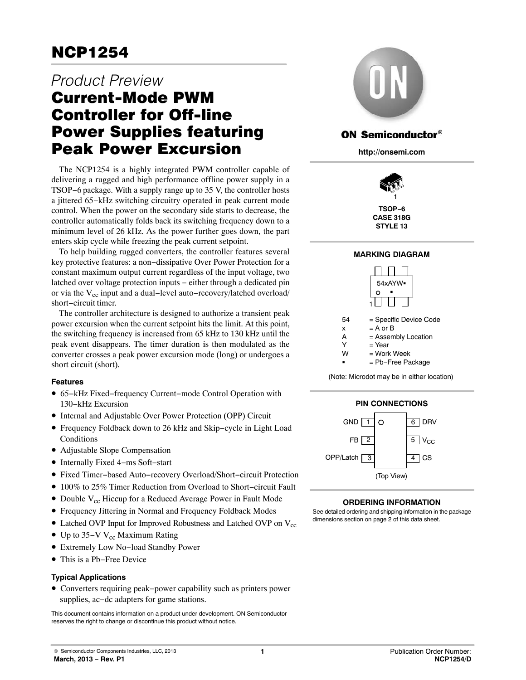# *Product Preview* Current-Mode PWM Controller for Off-line Power Supplies featuring Peak Power Excursion

The NCP1254 is a highly integrated PWM controller capable of delivering a rugged and high performance offline power supply in a TSOP−6 package. With a supply range up to 35 V, the controller hosts a jittered 65−kHz switching circuitry operated in peak current mode control. When the power on the secondary side starts to decrease, the controller automatically folds back its switching frequency down to a minimum level of 26 kHz. As the power further goes down, the part enters skip cycle while freezing the peak current setpoint.

To help building rugged converters, the controller features several key protective features: a non−dissipative Over Power Protection for a constant maximum output current regardless of the input voltage, two latched over voltage protection inputs − either through a dedicated pin or via the V<sub>cc</sub> input and a dual-level auto-recovery/latched overload/ short−circuit timer.

The controller architecture is designed to authorize a transient peak power excursion when the current setpoint hits the limit. At this point, the switching frequency is increased from 65 kHz to 130 kHz until the peak event disappears. The timer duration is then modulated as the converter crosses a peak power excursion mode (long) or undergoes a short circuit (short).

# **Features**

- 65−kHz Fixed−frequency Current−mode Control Operation with 130−kHz Excursion
- Internal and Adjustable Over Power Protection (OPP) Circuit
- Frequency Foldback down to 26 kHz and Skip−cycle in Light Load Conditions
- Adjustable Slope Compensation
- Internally Fixed 4−ms Soft−start
- Fixed Timer−based Auto−recovery Overload/Short−circuit Protection
- 100% to 25% Timer Reduction from Overload to Short−circuit Fault
- Double  $V_{cc}$  Hiccup for a Reduced Average Power in Fault Mode
- Frequency Jittering in Normal and Frequency Foldback Modes
- Latched OVP Input for Improved Robustness and Latched OVP on  $V_{cc}$
- Up to 35–V V<sub>cc</sub> Maximum Rating
- Extremely Low No−load Standby Power
- This is a Pb−Free Device

### **Typical Applications**

• Converters requiring peak−power capability such as printers power supplies, ac−dc adapters for game stations.

This document contains information on a product under development. ON Semiconductor reserves the right to change or discontinue this product without notice.



# **ON Semiconductor®**

**http://onsemi.com**



**TSOP−6 CASE 318G STYLE 13**

### **MARKING DIAGRAM**





# **ORDERING INFORMATION**

See detailed ordering and shipping information in the package dimensions section on page [2](#page-1-0) of this data sheet.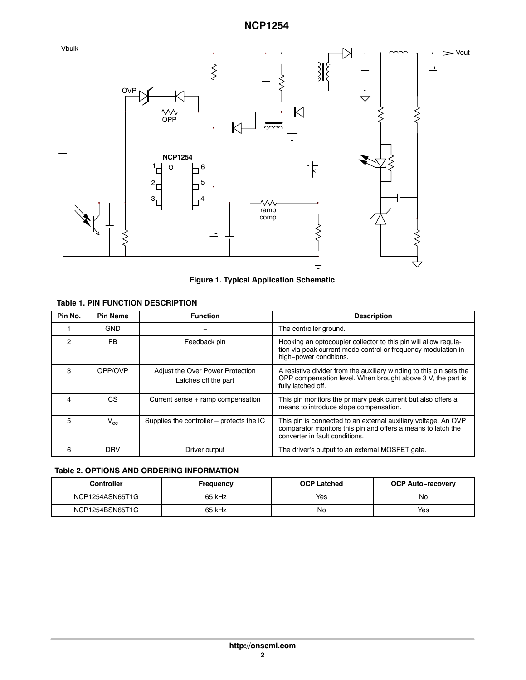<span id="page-1-0"></span>

**Figure 1. Typical Application Schematic**

# **Table 1. PIN FUNCTION DESCRIPTION**

| Pin No. | <b>Pin Name</b> | <b>Function</b>                                          | <b>Description</b>                                                                                                                                               |
|---------|-----------------|----------------------------------------------------------|------------------------------------------------------------------------------------------------------------------------------------------------------------------|
|         | <b>GND</b>      |                                                          | The controller ground.                                                                                                                                           |
| 2       | <b>FB</b>       | Feedback pin                                             | Hooking an optocoupler collector to this pin will allow regula-<br>tion via peak current mode control or frequency modulation in<br>high-power conditions.       |
| 3       | OPP/OVP         | Adjust the Over Power Protection<br>Latches off the part | A resistive divider from the auxiliary winding to this pin sets the<br>OPP compensation level. When brought above 3 V, the part is<br>fully latched off.         |
| 4       | CS.             | Current sense + ramp compensation                        | This pin monitors the primary peak current but also offers a<br>means to introduce slope compensation.                                                           |
| 5       | $\rm V_{cc}$    | Supplies the controller $-$ protects the IC              | This pin is connected to an external auxiliary voltage. An OVP<br>comparator monitors this pin and offers a means to latch the<br>converter in fault conditions. |
| 6       | <b>DRV</b>      | Driver output                                            | The driver's output to an external MOSFET gate.                                                                                                                  |

# **Table 2. OPTIONS AND ORDERING INFORMATION**

| <b>Controller</b> | Frequency | <b>OCP Latched</b> | <b>OCP Auto-recovery</b> |  |  |
|-------------------|-----------|--------------------|--------------------------|--|--|
| NCP1254ASN65T1G   | 65 kHz    | Yes                | No                       |  |  |
| NCP1254BSN65T1G   | 65 kHz    | No                 | Yes                      |  |  |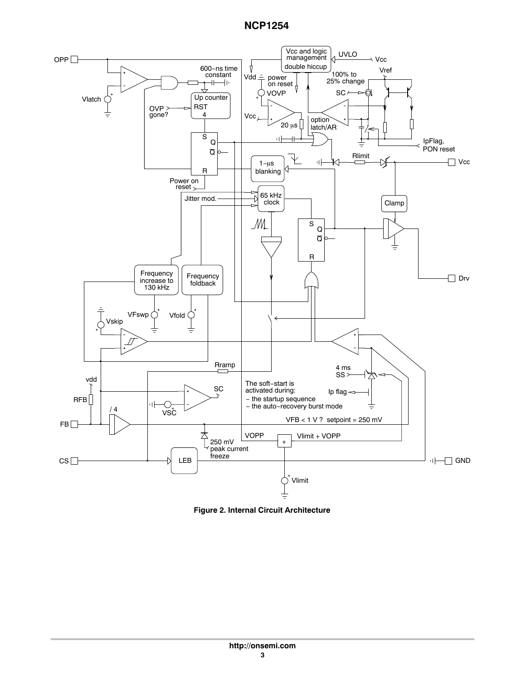

**Figure 2. Internal Circuit Architecture**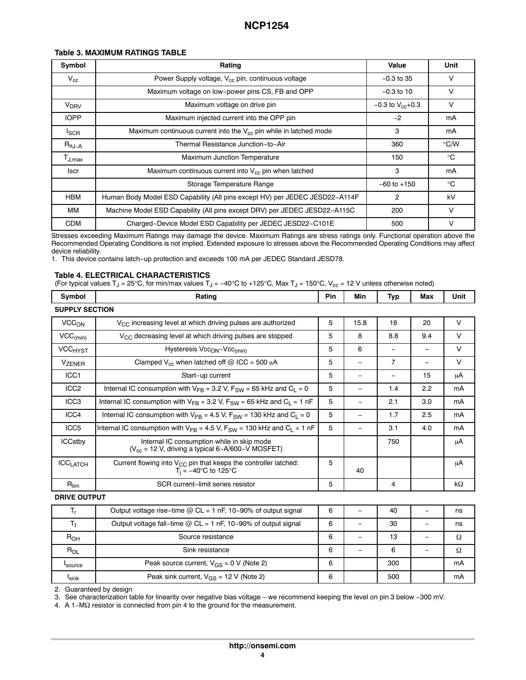### <span id="page-3-0"></span>**Table 3. MAXIMUM RATINGS TABLE**

| Symbol                                     | Rating                                                                      | Value                   | Unit          |
|--------------------------------------------|-----------------------------------------------------------------------------|-------------------------|---------------|
| $V_{cc}$                                   | Power Supply voltage, V <sub>cc</sub> pin, continuous voltage               | $-0.3$ to 35            | V             |
|                                            | Maximum voltage on low-power pins CS, FB and OPP                            | $-0.3$ to 10            | v             |
| <b>V<sub>DRV</sub></b>                     | Maximum voltage on drive pin                                                | $-0.3$ to $V_{cc}$ +0.3 | v             |
| <b>IOPP</b>                                | Maximum injected current into the OPP pin                                   | $-2$                    | mA            |
| <b>I</b> SCR                               | Maximum continuous current into the $V_{cc}$ pin while in latched mode      | 3                       | mA            |
| $\mathsf{R}_{\theta\mathsf{J}-\mathsf{A}}$ | Thermal Resistance Junction-to-Air                                          | 360                     | $\degree$ C/W |
| $T_{\mathsf{J},\mathsf{max}}$              | Maximum Junction Temperature                                                | 150                     | $^{\circ}$ C  |
| <b>Iscr</b>                                | Maximum continuous current into V <sub>cc</sub> pin when latched            | 3                       | mA            |
|                                            | Storage Temperature Range                                                   | $-60$ to $+150$         | $^{\circ}C$   |
| <b>HBM</b>                                 | Human Body Model ESD Capability (All pins except HV) per JEDEC JESD22-A114F | 2                       | kV            |
| ΜМ                                         | Machine Model ESD Capability (All pins except DRV) per JEDEC JESD22-A115C   | 200                     | $\vee$        |
| <b>CDM</b>                                 | Charged-Device Model ESD Capability per JEDEC JESD22-C101E                  | 500                     | v             |

Stresses exceeding Maximum Ratings may damage the device. Maximum Ratings are stress ratings only. Functional operation above the Recommended Operating Conditions is not implied. Extended exposure to stresses above the Recommended Operating Conditions may affect device reliability.

Ĩ.

1. This device contains latch−up protection and exceeds 100 mA per JEDEC Standard JESD78.

### **Table 4. ELECTRICAL CHARACTERISTICS**

(For typical values T $_{\rm J}$  = 25°C, for min/max values T $_{\rm J}$  = –40°C to +125°C, Max T $_{\rm J}$  = 150°C, V $_{\rm cc}$  = 12 V unless otherwise noted)

| Symbol                   | Rating                                                                                                      | <b>Pin</b> | Min                      | Typ                      | Max                      | Unit      |
|--------------------------|-------------------------------------------------------------------------------------------------------------|------------|--------------------------|--------------------------|--------------------------|-----------|
| <b>SUPPLY SECTION</b>    |                                                                                                             |            |                          |                          |                          |           |
| VCC <sub>ON</sub>        | $V_{\rm CC}$ increasing level at which driving pulses are authorized                                        | 5          | 15.8                     | 18                       | 20                       | $\vee$    |
| $VCC_{(min)}$            | V <sub>CC</sub> decreasing level at which driving pulses are stopped                                        | 5          | 8                        | 8.8                      | 9.4                      | $\vee$    |
| <b>VCCHYST</b>           | Hysteresis Vcc <sub>ON</sub> -Vcc <sub>(min)</sub>                                                          | 5          | 6                        | $\overline{\phantom{m}}$ | $\overline{\phantom{m}}$ | $\vee$    |
| <b>V<sub>ZENER</sub></b> | Clamped $V_{cc}$ when latched off @ ICC = 500 $\mu$ A                                                       | 5          | $\qquad \qquad -$        | $\overline{7}$           | $\overline{\phantom{m}}$ | $\vee$    |
| ICC <sub>1</sub>         | Start-up current                                                                                            | 5          | $\qquad \qquad -$        | -                        | 15                       | μA        |
| ICC <sub>2</sub>         | Internal IC consumption with $V_{FR}$ = 3.2 V, $F_{SW}$ = 65 kHz and $C_1$ = 0                              | 5          | $\qquad \qquad -$        | 1.4                      | 2.2                      | mA        |
| ICC <sub>3</sub>         | Internal IC consumption with $V_{FB}$ = 3.2 V, $F_{SW}$ = 65 kHz and $C_L$ = 1 nF                           | 5          | $\qquad \qquad -$        | 2.1                      | 3.0                      | mA        |
| ICC4                     | Internal IC consumption with $V_{FB} = 4.5$ V, $F_{SW} = 130$ kHz and $C_L = 0$                             | 5          | $\qquad \qquad -$        | 1.7                      | 2.5                      | mA        |
| ICC <sub>5</sub>         | Internal IC consumption with $V_{FB} = 4.5 V$ , $F_{SW} = 130$ kHz and $C_L = 1$ nF                         | 5          | $\overline{\phantom{0}}$ | 3.1                      | 4.0                      | mA        |
| <b>ICCstby</b>           | Internal IC consumption while in skip mode<br>$(V_{cc} = 12 V,$ driving a typical 6-A/600-V MOSFET)         |            |                          | 750                      |                          | μA        |
| <b>ICCLATCH</b>          | Current flowing into $V_{CC}$ pin that keeps the controller latched:<br>$T_i = -40^\circ \text{C}$ to 125°C | 5          | 40                       |                          |                          | μA        |
| $R_{\text{lim}}$         | SCR current-limit series resistor                                                                           | 5          |                          | 4                        |                          | $k\Omega$ |
| <b>DRIVE OUTPUT</b>      |                                                                                                             |            |                          |                          |                          |           |
| $T_{r}$                  | Output voltage rise-time $@$ CL = 1 nF, 10-90% of output signal                                             | 6          | $\overline{\phantom{0}}$ | 40                       | $\overline{\phantom{m}}$ | ns        |
| $T_f$                    | Output voltage fall-time $@$ CL = 1 nF, 10-90% of output signal                                             | 6          | $\qquad \qquad -$        | 30                       | $\overline{\phantom{m}}$ | ns        |
| $R_{OH}$                 | Source resistance                                                                                           | 6          | $\overline{\phantom{0}}$ | 13                       | $\overline{\phantom{0}}$ | Ω         |
| $R_{OL}$                 | Sink resistance                                                                                             | 6          | $\qquad \qquad -$        | 6                        | $\overline{\phantom{m}}$ | Ω         |
| source                   | Peak source current, $V_{GS} = 0 V$ (Note 2)                                                                | 6          |                          | 300                      |                          | mA        |
| $I_{\sf sink}$           | Peak sink current, $V_{GS}$ = 12 V (Note 2)                                                                 | 6          |                          | 500                      |                          | mA        |

[2](#page-5-0). Guaranteed by design

[3](#page-5-0). See characterization table for linearity over negative bias voltage – we recommend keeping the level on pin 3 below −300 mV.

[4](#page-5-0). A 1−MΩ resistor is connected from pin 4 to the ground for the measurement.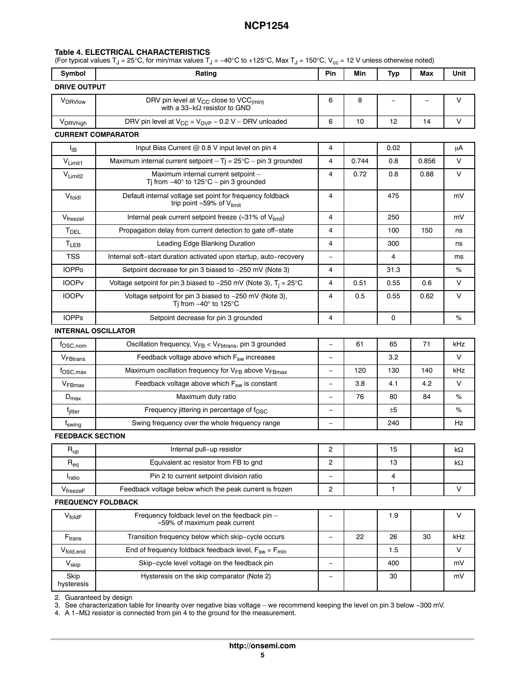### **Table [4.](#page-3-0) ELECTRICAL CHARACTERISTICS**

(For typical values T<sub>J</sub> = 25°C, for min/max values T<sub>J</sub> = -40°C to +125°C, Max T<sub>J</sub> = 150°C, V<sub>cc</sub> = 12 V unless otherwise noted)

| Symbol                     | Rating                                                                                                      | Pin                      | Min   | Typ         | Max                      | Unit   |
|----------------------------|-------------------------------------------------------------------------------------------------------------|--------------------------|-------|-------------|--------------------------|--------|
| <b>DRIVE OUTPUT</b>        |                                                                                                             |                          |       |             |                          |        |
| V <sub>DRVlow</sub>        | DRV pin level at $V_{CC}$ close to $VCC_{(min)}$<br>with a 33-k $\Omega$ resistor to GND                    | 6                        | 8     | $\equiv$    | $\overline{\phantom{0}}$ | V      |
| V <sub>DRVhigh</sub>       | DRV pin level at $V_{CC} = V_{OVP} - 0.2 V - DRV$ unloaded                                                  | 6                        | 10    | 12          | 14                       | V      |
|                            | <b>CURRENT COMPARATOR</b>                                                                                   |                          |       |             |                          |        |
| ŀв                         | Input Bias Current @ 0.8 V input level on pin 4                                                             | 4                        |       | 0.02        |                          | μA     |
| $V_{Limit1}$               | Maximum internal current setpoint $-$ Tj = 25°C $-$ pin 3 grounded                                          | $\overline{4}$           | 0.744 | 0.8         | 0.856                    | V      |
| $V_{Limit2}$               | Maximum internal current setpoint -<br>Tj from $-40^\circ$ to 125°C – pin 3 grounded                        | 4                        | 0.72  | 0.8         | 0.88                     | $\vee$ |
| $V_{\text{fold}}$          | Default internal voltage set point for frequency foldback<br>trip point $\approx$ 59% of V <sub>limit</sub> | 4                        |       | 475         |                          | mV     |
| $V_{\text{freezel}}$       | Internal peak current setpoint freeze ( $\approx$ 31% of V <sub>limit</sub> )                               | 4                        |       | 250         |                          | mV     |
| T <sub>DEL</sub>           | Propagation delay from current detection to gate off-state                                                  | $\overline{4}$           |       | 100         | 150                      | ns     |
| T <sub>LEB</sub>           | Leading Edge Blanking Duration                                                                              | 4                        |       | 300         |                          | ns     |
| <b>TSS</b>                 | Internal soft-start duration activated upon startup, auto-recovery                                          |                          |       | 4           |                          | ms     |
| <b>IOPPo</b>               | Setpoint decrease for pin 3 biased to -250 mV (Note 3)                                                      | 4                        |       | 31.3        |                          | %      |
| <b>IOOPv</b>               | Voltage setpoint for pin 3 biased to -250 mV (Note 3), $T_i = 25^{\circ}C$                                  | 4                        | 0.51  | 0.55        | 0.6                      | V      |
| <b>IOOPv</b>               | Voltage setpoint for pin 3 biased to -250 mV (Note 3),<br>Tj from $-40^\circ$ to 125 $^\circ$ C             | 4                        | 0.5   | 0.55        | 0.62                     | V      |
| <b>IOPPs</b>               | Setpoint decrease for pin 3 grounded                                                                        | $\overline{4}$           |       | $\mathbf 0$ |                          | %      |
| <b>INTERNAL OSCILLATOR</b> |                                                                                                             |                          |       |             |                          |        |
| f <sub>OSC,nom</sub>       | Oscillation frequency, V <sub>FB</sub> < V <sub>Fbtrans</sub> , pin 3 grounded                              | $\equiv$                 | 61    | 65          | 71                       | kHz    |
| V <sub>FBtrans</sub>       | Feedback voltage above which F <sub>sw</sub> increases                                                      | $\equiv$                 |       | 3.2         |                          | V      |
| $f_{\text{OSC,max}}$       | Maximum oscillation frequency for V <sub>FB</sub> above V <sub>FBmax</sub>                                  | Ξ.                       | 120   | 130         | 140                      | kHz    |
| V <sub>FBmax</sub>         | Feedback voltage above which F <sub>sw</sub> is constant                                                    | $\overline{\phantom{0}}$ | 3.8   | 4.1         | 4.2                      | V      |
| $D_{\text{max}}$           | Maximum duty ratio                                                                                          | $\overline{\phantom{0}}$ | 76    | 80          | 84                       | ℅      |
| f <sub>jitter</sub>        | Frequency jittering in percentage of f <sub>OSC</sub>                                                       | —                        |       | ±5          |                          | %      |
| $f_{\text{swing}}$         | Swing frequency over the whole frequency range                                                              | $\overline{\phantom{0}}$ |       | 240         |                          | Hz     |
| <b>FEEDBACK SECTION</b>    |                                                                                                             |                          |       |             |                          |        |
| $\mathsf{R}_{\mathsf{up}}$ | Internal pull-up resistor                                                                                   | $\overline{c}$           |       | 15          |                          | kΩ     |
| $R_{eq}$                   | Equivalent ac resistor from FB to gnd                                                                       | $\overline{c}$           |       | 13          |                          | kΩ     |
| <i>I</i> <sub>ratio</sub>  | Pin 2 to current setpoint division ratio                                                                    | $\equiv$                 |       | 4           |                          |        |
| $V_{\text{freeze}F}$       | Feedback voltage below which the peak current is frozen                                                     | $\overline{c}$           |       | 1           |                          | V      |
|                            | <b>FREQUENCY FOLDBACK</b>                                                                                   |                          |       |             |                          |        |
| $V_{\text{foldF}}$         | Frequency foldback level on the feedback pin -<br>≈59% of maximum peak current                              | -                        |       | 1.9         |                          | V      |
| $F_{trans}$                | Transition frequency below which skip-cycle occurs                                                          | $\qquad \qquad -$        | 22    | 26          | 30                       | kHz    |
| V <sub>fold,end</sub>      | End of frequency foldback feedback level, $F_{sw} = F_{min}$                                                |                          |       | 1.5         |                          | V      |
| Vskip                      | Skip-cycle level voltage on the feedback pin                                                                | $\overline{\phantom{0}}$ |       | 400         |                          | mV     |
| Skip<br>hysteresis         | Hysteresis on the skip comparator (Note 2)                                                                  |                          |       | 30          |                          | mV     |

[2](#page-5-0). Guaranteed by design

[3](#page-5-0). See characterization table for linearity over negative bias voltage – we recommend keeping the level on pin 3 below −300 mV.

[4](#page-5-0). A 1-MΩ resistor is connected from pin 4 to the ground for the measurement.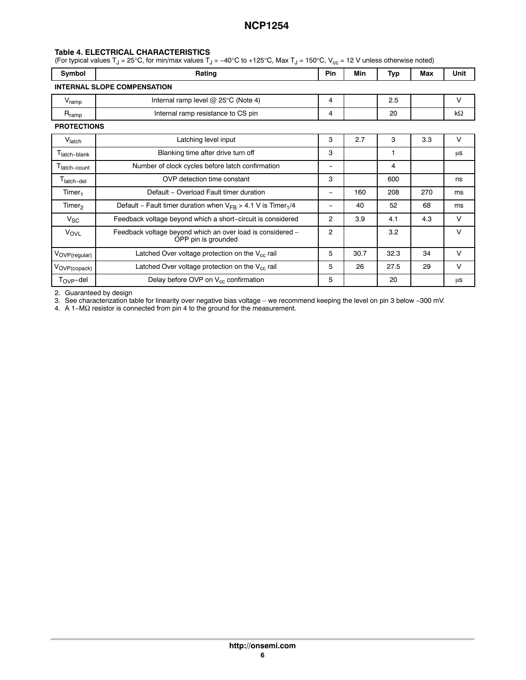### <span id="page-5-0"></span>**Table [4.](#page-3-0) ELECTRICAL CHARACTERISTICS**

(For typical values T<sub>J</sub> = 25°C, for min/max values T<sub>J</sub> = -40°C to +125°C, Max T<sub>J</sub> = 150°C, V<sub>cc</sub> = 12 V unless otherwise noted)

| Symbol                   | Rating                                                                            | Pin                            | Min  | Typ  | Max | Unit   |  |
|--------------------------|-----------------------------------------------------------------------------------|--------------------------------|------|------|-----|--------|--|
|                          | <b>INTERNAL SLOPE COMPENSATION</b>                                                |                                |      |      |     |        |  |
| $V_{ramp}$               | Internal ramp level $@$ 25°C (Note 4)                                             | 4                              |      | 2.5  |     | $\vee$ |  |
| $R_{\mathsf{ramp}}$      | Internal ramp resistance to CS pin                                                | 4                              |      | 20   |     | kΩ     |  |
| <b>PROTECTIONS</b>       |                                                                                   |                                |      |      |     |        |  |
| V <sub>latch</sub>       | Latching level input                                                              | 3                              | 2.7  | 3    | 3.3 | $\vee$ |  |
| l latch-blank            | Blanking time after drive turn off                                                | 3                              |      | 1    |     | μs     |  |
| T <sub>latch-count</sub> | Number of clock cycles before latch confirmation                                  | $\qquad \qquad \longleftarrow$ |      | 4    |     |        |  |
| T <sub>latch-del</sub>   | OVP detection time constant                                                       | 3                              |      | 600  |     | ns     |  |
| Timer <sub>1</sub>       | Default - Overload Fault timer duration                                           | $\qquad \qquad \longleftarrow$ | 160  | 208  | 270 | ms     |  |
| Timer <sub>2</sub>       | Default – Fault timer duration when $V_{FR} > 4.1$ V is Timer <sub>1</sub> /4     | -                              | 40   | 52   | 68  | ms     |  |
| $V_{SC}$                 | Feedback voltage beyond which a short-circuit is considered                       | 2                              | 3.9  | 4.1  | 4.3 | $\vee$ |  |
| VOVL                     | Feedback voltage beyond which an over load is considered -<br>OPP pin is grounded | 2                              |      | 3.2  |     | $\vee$ |  |
| VOVP(regular)            | Latched Over voltage protection on the $V_{cc}$ rail                              | 5                              | 30.7 | 32.3 | 34  | $\vee$ |  |
| VOVP(copack)             | Latched Over voltage protection on the $V_{cc}$ rail                              | 5                              | 26   | 27.5 | 29  | $\vee$ |  |
| $T_{\rm OVP}$ -del       | Delay before OVP on V <sub>cc</sub> confirmation                                  | 5                              |      | 20   |     | μs     |  |

2. Guaranteed by design

3. See characterization table for linearity over negative bias voltage – we recommend keeping the level on pin 3 below −300 mV.

4. A 1−MΩ resistor is connected from pin 4 to the ground for the measurement.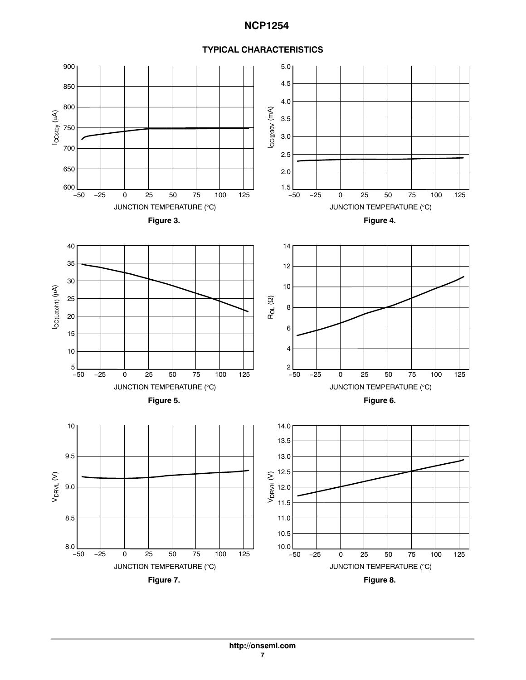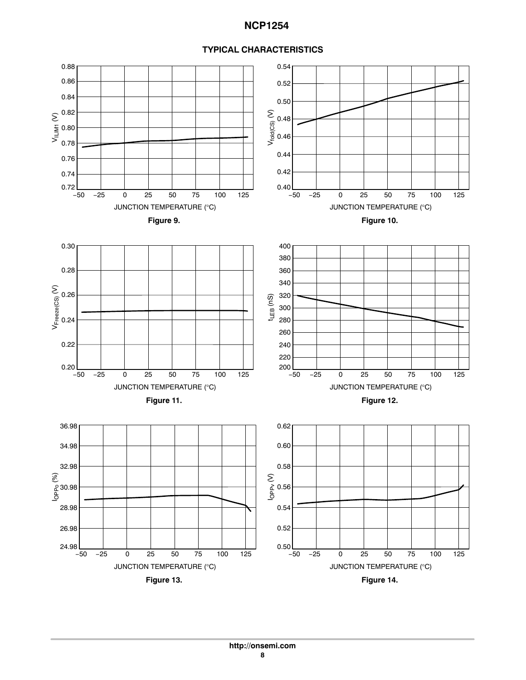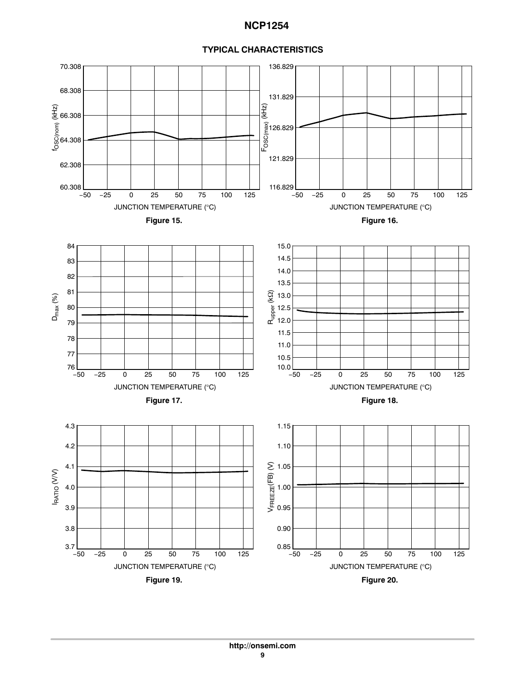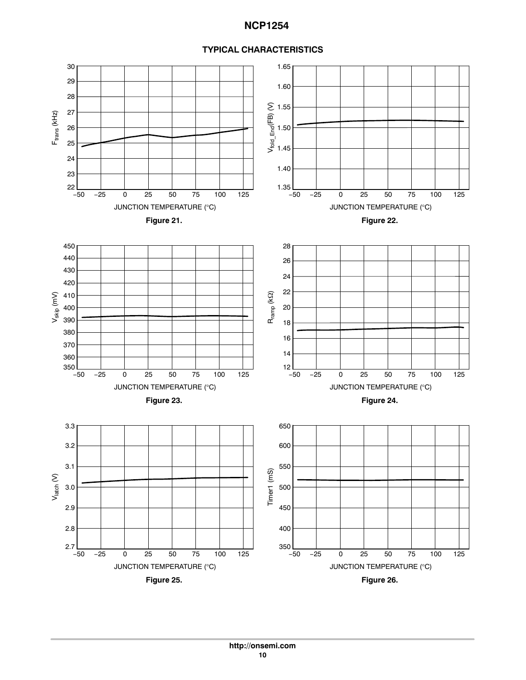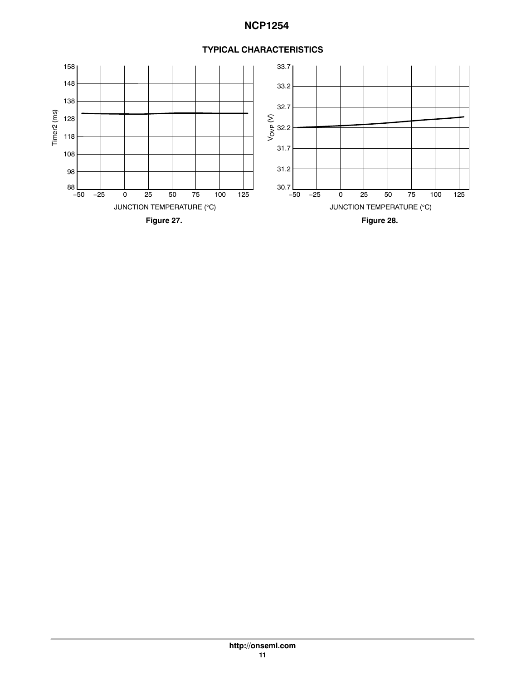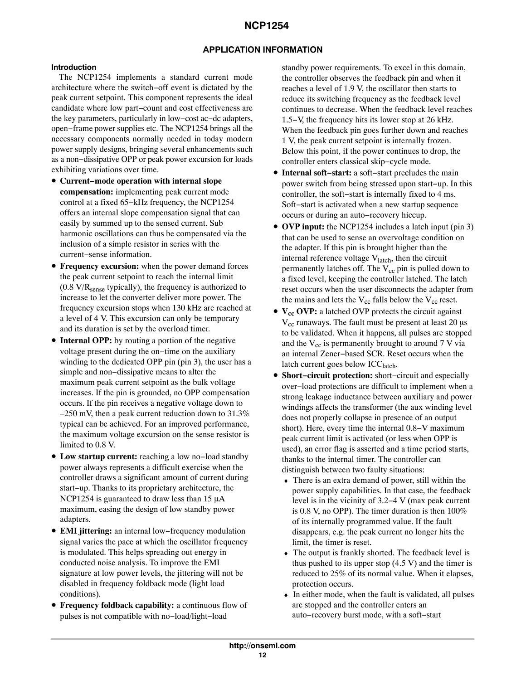# **APPLICATION INFORMATION**

### **Introduction**

The NCP1254 implements a standard current mode architecture where the switch−off event is dictated by the peak current setpoint. This component represents the ideal candidate where low part−count and cost effectiveness are the key parameters, particularly in low−cost ac−dc adapters, open−frame power supplies etc. The NCP1254 brings all the necessary components normally needed in today modern power supply designs, bringing several enhancements such as a non−dissipative OPP or peak power excursion for loads exhibiting variations over time.

- **Current−mode operation with internal slope compensation:** implementing peak current mode control at a fixed 65−kHz frequency, the NCP1254 offers an internal slope compensation signal that can easily by summed up to the sensed current. Sub harmonic oscillations can thus be compensated via the inclusion of a simple resistor in series with the current−sense information.
- **Frequency excursion:** when the power demand forces the peak current setpoint to reach the internal limit  $(0.8 \text{ V/R}_{\text{sense}}$  typically), the frequency is authorized to increase to let the converter deliver more power. The frequency excursion stops when 130 kHz are reached at a level of 4 V. This excursion can only be temporary and its duration is set by the overload timer.
- **Internal OPP:** by routing a portion of the negative voltage present during the on−time on the auxiliary winding to the dedicated OPP pin (pin 3), the user has a simple and non−dissipative means to alter the maximum peak current setpoint as the bulk voltage increases. If the pin is grounded, no OPP compensation occurs. If the pin receives a negative voltage down to  $-250$  mV, then a peak current reduction down to 31.3% typical can be achieved. For an improved performance, the maximum voltage excursion on the sense resistor is limited to 0.8 V.
- **Low startup current:** reaching a low no−load standby power always represents a difficult exercise when the controller draws a significant amount of current during start−up. Thanks to its proprietary architecture, the NCP1254 is guaranteed to draw less than  $15 \mu A$ maximum, easing the design of low standby power adapters.
- **EMI jittering:** an internal low−frequency modulation signal varies the pace at which the oscillator frequency is modulated. This helps spreading out energy in conducted noise analysis. To improve the EMI signature at low power levels, the jittering will not be disabled in frequency foldback mode (light load conditions).
- **Frequency foldback capability:** a continuous flow of pulses is not compatible with no−load/light−load

standby power requirements. To excel in this domain, the controller observes the feedback pin and when it reaches a level of 1.9 V, the oscillator then starts to reduce its switching frequency as the feedback level continues to decrease. When the feedback level reaches 1.5−V, the frequency hits its lower stop at 26 kHz. When the feedback pin goes further down and reaches 1 V, the peak current setpoint is internally frozen. Below this point, if the power continues to drop, the controller enters classical skip−cycle mode.

- **Internal soft−start:** a soft−start precludes the main power switch from being stressed upon start−up. In this controller, the soft−start is internally fixed to 4 ms. Soft−start is activated when a new startup sequence occurs or during an auto−recovery hiccup.
- **OVP input:** the NCP1254 includes a latch input (pin 3) that can be used to sense an overvoltage condition on the adapter. If this pin is brought higher than the internal reference voltage  $V<sub>latch</sub>$ , then the circuit permanently latches off. The  $V_{cc}$  pin is pulled down to a fixed level, keeping the controller latched. The latch reset occurs when the user disconnects the adapter from the mains and lets the  $V_{cc}$  falls below the  $V_{cc}$  reset.
- **V<sub>cc</sub> OVP:** a latched OVP protects the circuit against  $\rm V_{cc}$  runaways. The fault must be present at least 20  $\rm \mu s$ to be validated. When it happens, all pulses are stopped and the  $V_{cc}$  is permanently brought to around  $7 V$  via an internal Zener−based SCR. Reset occurs when the latch current goes below ICC<sub>latch</sub>.
- **Short−circuit protection:** short−circuit and especially over−load protections are difficult to implement when a strong leakage inductance between auxiliary and power windings affects the transformer (the aux winding level does not properly collapse in presence of an output short). Here, every time the internal 0.8−V maximum peak current limit is activated (or less when OPP is used), an error flag is asserted and a time period starts, thanks to the internal timer. The controller can distinguish between two faulty situations:
	- ♦ There is an extra demand of power, still within the power supply capabilities. In that case, the feedback level is in the vicinity of 3.2−4 V (max peak current is 0.8 V, no OPP). The timer duration is then 100% of its internally programmed value. If the fault disappears, e.g. the peak current no longer hits the limit, the timer is reset.
	- ♦ The output is frankly shorted. The feedback level is thus pushed to its upper stop  $(4.5 V)$  and the timer is reduced to 25% of its normal value. When it elapses, protection occurs.
	- ♦ In either mode, when the fault is validated, all pulses are stopped and the controller enters an auto−recovery burst mode, with a soft−start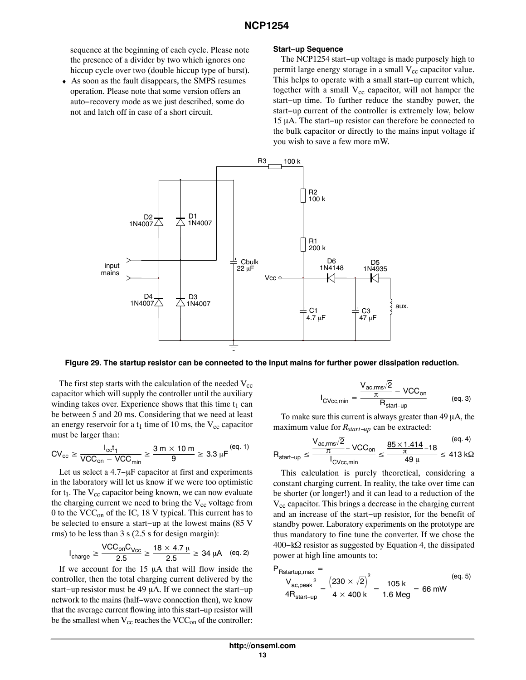<span id="page-12-0"></span>sequence at the beginning of each cycle. Please note the presence of a divider by two which ignores one hiccup cycle over two (double hiccup type of burst).

♦ As soon as the fault disappears, the SMPS resumes operation. Please note that some version offers an auto−recovery mode as we just described, some do not and latch off in case of a short circuit.

#### **Start−up Sequence**

The NCP1254 start−up voltage is made purposely high to permit large energy storage in a small  $V_{cc}$  capacitor value. This helps to operate with a small start−up current which, together with a small  $V_{cc}$  capacitor, will not hamper the start−up time. To further reduce the standby power, the start−up current of the controller is extremely low, below 15 μA. The start–up resistor can therefore be connected to the bulk capacitor or directly to the mains input voltage if you wish to save a few more mW.



**Figure 29. The startup resistor can be connected to the input mains for further power dissipation reduction.**

The first step starts with the calculation of the needed  $V_{cc}$ capacitor which will supply the controller until the auxiliary winding takes over. Experience shows that this time  $t_1$  can be between 5 and 20 ms. Considering that we need at least an energy reservoir for a  $t_1$  time of 10 ms, the  $V_{cc}$  capacitor must be larger than:

$$
CV_{cc} \ge \frac{I_{cc}t_1}{VCC_{on} - VCC_{min}} \ge \frac{3 \text{ m} \times 10 \text{ m}}{9} \ge 3.3 \text{ }\mu\text{F}^{(eq. 1)}
$$

Let us select a 4.7-µF capacitor at first and experiments in the laboratory will let us know if we were too optimistic for  $t_1$ . The  $V_{cc}$  capacitor being known, we can now evaluate the charging current we need to bring the  $V_{cc}$  voltage from 0 to the  $VCC<sub>on</sub>$  of the IC, 18 V typical. This current has to be selected to ensure a start−up at the lowest mains (85 V rms) to be less than 3 s (2.5 s for design margin):

$$
I_{charge} \geq \frac{VCC_{on}C_{Vcc}}{2.5} \geq \frac{18 \times 4.7 \ \mu}{2.5} \geq 34 \ \mu A \quad \text{(eq. 2)}
$$

If we account for the  $15 \mu A$  that will flow inside the controller, then the total charging current delivered by the start–up resistor must be 49 μA. If we connect the start–up network to the mains (half−wave connection then), we know that the average current flowing into this start−up resistor will be the smallest when  $V_{cc}$  reaches the VCC<sub>on</sub> of the controller:

$$
_{\text{CVec,min}} = \frac{V_{\text{ac,rms}}\sqrt{2}}{\frac{\pi}{R_{\text{start-up}}} - \text{VCC}_{\text{on}}}
$$
 (eq. 3)

To make sure this current is always greater than  $49 \mu A$ , the maximum value for *Rstart−up* can be extracted:

I

$$
R_{start-up} \le \frac{\frac{V_{ac,rms}\sqrt{2}}{\pi} - VCC_{on}}{I_{CVec,min}} \le \frac{\frac{85 \times 1.414}{\pi} - 18}{49 \,\mu} \le 413 \,\text{k}\Omega
$$

This calculation is purely theoretical, considering a constant charging current. In reality, the take over time can be shorter (or longer!) and it can lead to a reduction of the  $V_{cc}$  capacitor. This brings a decrease in the charging current and an increase of the start−up resistor, for the benefit of standby power. Laboratory experiments on the prototype are thus mandatory to fine tune the converter. If we chose the 400–kΩ resistor as suggested by Equation 4, the dissipated power at high line amounts to:

$$
P_{Rstantup,max} = \frac{V_{ac,peak}^2}{4R_{start-up}} = \frac{(230 \times \sqrt{2})^2}{4 \times 400 \text{ k}} = \frac{105 \text{ k}}{1.6 \text{ Meg}} = 66 \text{ mW}
$$
 (eq. 5)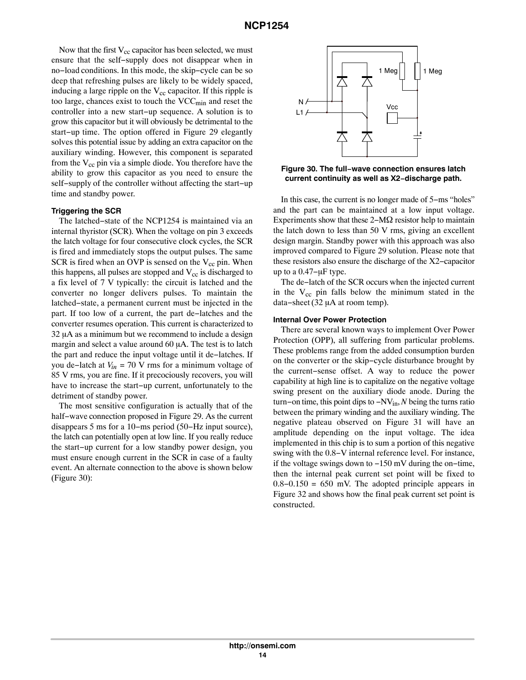Now that the first  $V_{cc}$  capacitor has been selected, we must ensure that the self−supply does not disappear when in no−load conditions. In this mode, the skip−cycle can be so deep that refreshing pulses are likely to be widely spaced, inducing a large ripple on the  $V_{cc}$  capacitor. If this ripple is too large, chances exist to touch the  $VCC_{min}$  and reset the controller into a new start−up sequence. A solution is to grow this capacitor but it will obviously be detrimental to the start−up time. The option offered in Figure [29](#page-12-0) elegantly solves this potential issue by adding an extra capacitor on the auxiliary winding. However, this component is separated from the  $V_{cc}$  pin via a simple diode. You therefore have the ability to grow this capacitor as you need to ensure the self−supply of the controller without affecting the start−up time and standby power.

#### **Triggering the SCR**

The latched−state of the NCP1254 is maintained via an internal thyristor (SCR). When the voltage on pin 3 exceeds the latch voltage for four consecutive clock cycles, the SCR is fired and immediately stops the output pulses. The same SCR is fired when an OVP is sensed on the  $V_{cc}$  pin. When this happens, all pulses are stopped and  $V_{cc}$  is discharged to a fix level of 7 V typically: the circuit is latched and the converter no longer delivers pulses. To maintain the latched−state, a permanent current must be injected in the part. If too low of a current, the part de−latches and the converter resumes operation. This current is characterized to  $32 \mu A$  as a minimum but we recommend to include a design margin and select a value around  $60 \mu A$ . The test is to latch the part and reduce the input voltage until it de−latches. If you de−latch at *Vin* = 70 V rms for a minimum voltage of 85 V rms, you are fine. If it precociously recovers, you will have to increase the start−up current, unfortunately to the detriment of standby power.

The most sensitive configuration is actually that of the half−wave connection proposed in Figure [29.](#page-12-0) As the current disappears 5 ms for a 10−ms period (50−Hz input source), the latch can potentially open at low line. If you really reduce the start−up current for a low standby power design, you must ensure enough current in the SCR in case of a faulty event. An alternate connection to the above is shown below (Figure 30):



**Figure 30. The full−wave connection ensures latch current continuity as well as X2−discharge path.**

In this case, the current is no longer made of 5−ms "holes" and the part can be maintained at a low input voltage. Experiments show that these  $2-M\Omega$  resistor help to maintain the latch down to less than 50 V rms, giving an excellent design margin. Standby power with this approach was also improved compared to Figure [29](#page-12-0) solution. Please note that these resistors also ensure the discharge of the X2−capacitor up to a  $0.47$ -µF type.

The de−latch of the SCR occurs when the injected current in the  $V_{cc}$  pin falls below the minimum stated in the data–sheet  $(32 \mu A)$  at room temp).

#### **Internal Over Power Protection**

There are several known ways to implement Over Power Protection (OPP), all suffering from particular problems. These problems range from the added consumption burden on the converter or the skip−cycle disturbance brought by the current−sense offset. A way to reduce the power capability at high line is to capitalize on the negative voltage swing present on the auxiliary diode anode. During the turn−on time, this point dips to −NVin, *N* being the turns ratio between the primary winding and the auxiliary winding. The negative plateau observed on Figure [31](#page-14-0) will have an amplitude depending on the input voltage. The idea implemented in this chip is to sum a portion of this negative swing with the 0.8−V internal reference level. For instance, if the voltage swings down to −150 mV during the on−time, then the internal peak current set point will be fixed to 0.8−0.150 = 650 mV. The adopted principle appears in Figure [32](#page-14-0) and shows how the final peak current set point is constructed.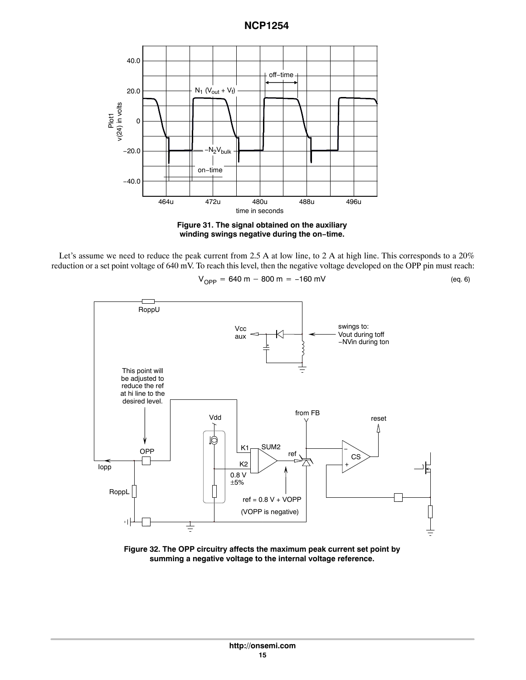<span id="page-14-0"></span>

**Figure 31. The signal obtained on the auxiliary winding swings negative during the on−time.**

Let's assume we need to reduce the peak current from 2.5 A at low line, to 2 A at high line. This corresponds to a 20% reduction or a set point voltage of 640 mV. To reach this level, then the negative voltage developed on the OPP pin must reach:

$$
V_{OPP} = 640 m - 800 m = -160 mV
$$
 (eq. 6)



**Figure 32. The OPP circuitry affects the maximum peak current set point by summing a negative voltage to the internal voltage reference.**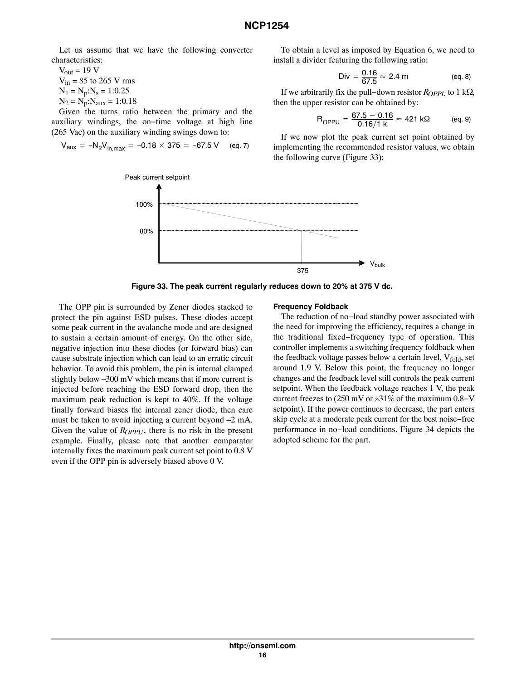Let us assume that we have the following converter characteristics:

 $V_{out}$  = 19 V  $V_{in}$  = 85 to 265 V rms  $N_1 = N_p:N_s = 1:0.25$  $N_2 = N_p : N_{aux} = 1:0.18$ 

Given the turns ratio between the primary and the auxiliary windings, the on−time voltage at high line (265 Vac) on the auxiliary winding swings down to:

$$
V_{\text{aux}} = -N_2 V_{\text{in,max}} = -0.18 \times 375 = -67.5 \text{ V} \quad \text{(eq. 7)}
$$

To obtain a level as imposed by Equation [6](#page-14-0), we need to install a divider featuring the following ratio:

Div = 
$$
\frac{0.16}{67.5}
$$
  $\approx$  2.4 m (eq. 8)

If we arbitrarily fix the pull–down resistor *R<sub>OPPL</sub>* to 1 kΩ, then the upper resistor can be obtained by:

$$
R_{OPPU} = \frac{67.5 - 0.16}{0.16/1 \text{ k}} \approx 421 \text{ k}\Omega \qquad \text{(eq. 9)}
$$

If we now plot the peak current set point obtained by implementing the recommended resistor values, we obtain the following curve (Figure 33):



**Figure 33. The peak current regularly reduces down to 20% at 375 V dc.**

The OPP pin is surrounded by Zener diodes stacked to protect the pin against ESD pulses. These diodes accept some peak current in the avalanche mode and are designed to sustain a certain amount of energy. On the other side, negative injection into these diodes (or forward bias) can cause substrate injection which can lead to an erratic circuit behavior. To avoid this problem, the pin is internal clamped slightly below –300 mV which means that if more current is injected before reaching the ESD forward drop, then the maximum peak reduction is kept to 40%. If the voltage finally forward biases the internal zener diode, then care must be taken to avoid injecting a current beyond –2 mA. Given the value of  $R_{OPPI}$ , there is no risk in the present example. Finally, please note that another comparator internally fixes the maximum peak current set point to 0.8 V even if the OPP pin is adversely biased above 0 V.

#### **Frequency Foldback**

The reduction of no−load standby power associated with the need for improving the efficiency, requires a change in the traditional fixed−frequency type of operation. This controller implements a switching frequency foldback when the feedback voltage passes below a certain level,  $V_{fold}$ , set around 1.9 V. Below this point, the frequency no longer changes and the feedback level still controls the peak current setpoint. When the feedback voltage reaches 1 V, the peak current freezes to (250 mV or »31% of the maximum 0.8−V setpoint). If the power continues to decrease, the part enters skip cycle at a moderate peak current for the best noise−free performance in no−load conditions. Figure [34](#page-16-0) depicts the adopted scheme for the part.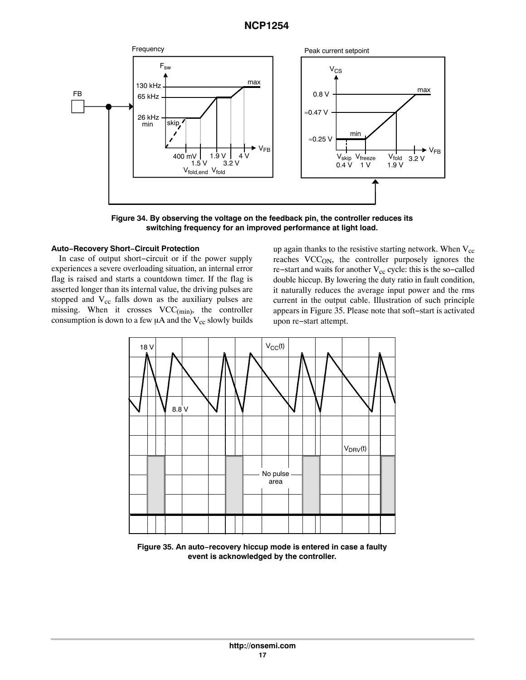<span id="page-16-0"></span>

**Figure 34. By observing the voltage on the feedback pin, the controller reduces its switching frequency for an improved performance at light load.**

### **Auto−Recovery Short−Circuit Protection**

In case of output short−circuit or if the power supply experiences a severe overloading situation, an internal error flag is raised and starts a countdown timer. If the flag is asserted longer than its internal value, the driving pulses are stopped and  $V_{cc}$  falls down as the auxiliary pulses are missing. When it crosses  $VCC_{(min)}$ , the controller consumption is down to a few  $\mu$ A and the V<sub>cc</sub> slowly builds

up again thanks to the resistive starting network. When  $V_{cc}$ reaches VCC<sub>ON</sub>, the controller purposely ignores the re−start and waits for another  $V_{cc}$  cycle: this is the so−called double hiccup. By lowering the duty ratio in fault condition, it naturally reduces the average input power and the rms current in the output cable. Illustration of such principle appears in Figure 35. Please note that soft−start is activated upon re−start attempt.



**Figure 35. An auto−recovery hiccup mode is entered in case a faulty event is acknowledged by the controller.**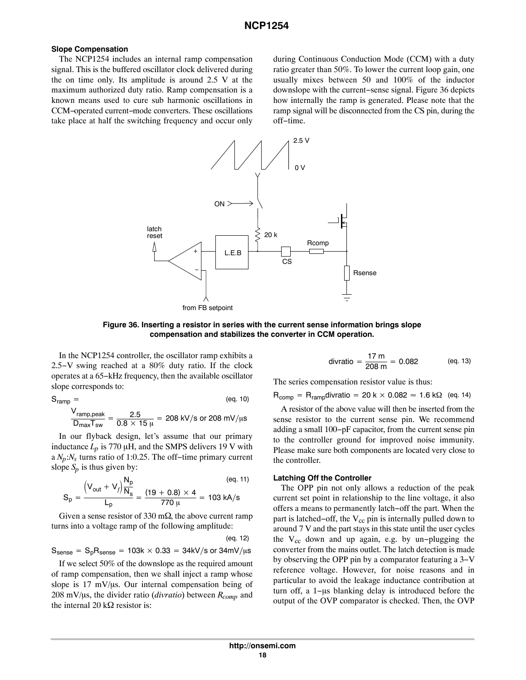### **Slope Compensation**

The NCP1254 includes an internal ramp compensation signal. This is the buffered oscillator clock delivered during the on time only. Its amplitude is around 2.5 V at the maximum authorized duty ratio. Ramp compensation is a known means used to cure sub harmonic oscillations in CCM−operated current−mode converters. These oscillations take place at half the switching frequency and occur only

during Continuous Conduction Mode (CCM) with a duty ratio greater than 50%. To lower the current loop gain, one usually mixes between 50 and 100% of the inductor downslope with the current−sense signal. Figure 36 depicts how internally the ramp is generated. Please note that the ramp signal will be disconnected from the CS pin, during the off−time.



**Figure 36. Inserting a resistor in series with the current sense information brings slope compensation and stabilizes the converter in CCM operation.**

In the NCP1254 controller, the oscillator ramp exhibits a 2.5−V swing reached at a 80% duty ratio. If the clock operates at a 65−kHz frequency, then the available oscillator slope corresponds to:

$$
S_{ramp} = \n\frac{V_{ramp,peak}}{D_{max}T_{sw}} = \frac{2.5}{0.8 \times 15 \,\mu} = 208 \,\text{kV/s or } 208 \,\text{mV/}\mu\text{s}
$$

In our flyback design, let's assume that our primary inductance  $L_p$  is 770  $\mu$ H, and the SMPS delivers 19 V with a *Np*:*Ns* turns ratio of 1:0.25. The off−time primary current slope  $S_p$  is thus given by:

$$
S_p = \frac{\left(V_{out} + V_f \right) \frac{N_p}{N_s}}{L_p} = \frac{(19 + 0.8) \times 4}{770 \, \mu} = 103 \text{ kA/s}
$$
 (eq. 11)

Given a sense resistor of 330 m $\Omega$ , the above current ramp turns into a voltage ramp of the following amplitude:

 $\rm S_{sense}=S_pR_{sense}=$  103k  $\times$  0.33  $=$  34kV/s or 34mV/ $\rm \mu s$ (eq. 12)

If we select 50% of the downslope as the required amount of ramp compensation, then we shall inject a ramp whose slope is  $17 \text{ mV/}\mu\text{s}$ . Our internal compensation being of 208 mV/µs, the divider ratio (*divratio*) between  $R_{comp}$  and the internal 20 k $\Omega$  resistor is:

divratio = 
$$
\frac{17 \text{ m}}{208 \text{ m}}
$$
 = 0.082 (eq. 13)

The series compensation resistor value is thus:

 $\mathsf{R}_{\mathsf{comp}} = \mathsf{R}_{\mathsf{ramp}}$ divratio = 20 k  $\times$  0.082  $\approx$  1.6 k $\Omega$  (eq. 14)

A resistor of the above value will then be inserted from the sense resistor to the current sense pin. We recommend adding a small 100−pF capacitor, from the current sense pin to the controller ground for improved noise immunity. Please make sure both components are located very close to the controller.

### **Latching Off the Controller**

The OPP pin not only allows a reduction of the peak current set point in relationship to the line voltage, it also offers a means to permanently latch−off the part. When the part is latched–off, the  $V_{cc}$  pin is internally pulled down to around 7 V and the part stays in this state until the user cycles the  $V_{cc}$  down and up again, e.g. by un-plugging the converter from the mains outlet. The latch detection is made by observing the OPP pin by a comparator featuring a 3−V reference voltage. However, for noise reasons and in particular to avoid the leakage inductance contribution at turn off, a 1-µs blanking delay is introduced before the output of the OVP comparator is checked. Then, the OVP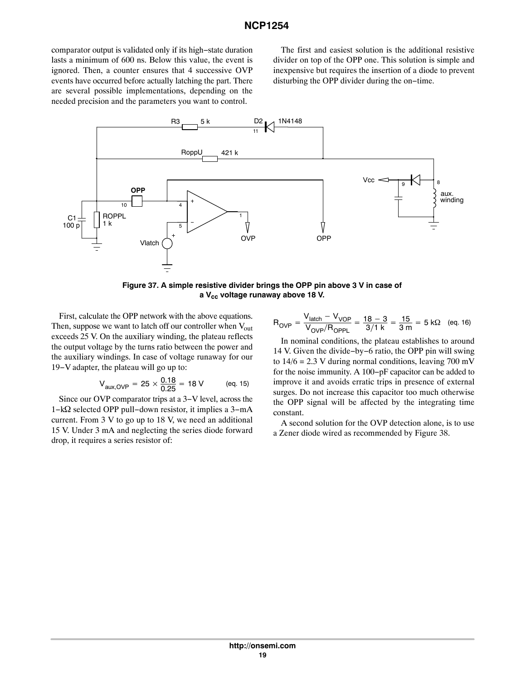<span id="page-18-0"></span>comparator output is validated only if its high−state duration lasts a minimum of 600 ns. Below this value, the event is ignored. Then, a counter ensures that 4 successive OVP events have occurred before actually latching the part. There are several possible implementations, depending on the needed precision and the parameters you want to control.

The first and easiest solution is the additional resistive divider on top of the OPP one. This solution is simple and inexpensive but requires the insertion of a diode to prevent disturbing the OPP divider during the on−time.



**Figure 37. A simple resistive divider brings the OPP pin above 3 V in case of a Vcc voltage runaway above 18 V.**

First, calculate the OPP network with the above equations. Then, suppose we want to latch off our controller when  $V_{out}$ exceeds 25 V. On the auxiliary winding, the plateau reflects the output voltage by the turns ratio between the power and the auxiliary windings. In case of voltage runaway for our 19−V adapter, the plateau will go up to:

$$
V_{\text{aux, OVP}} = 25 \times \frac{0.18}{0.25} = 18 \text{ V} \qquad \text{(eq. 15)}
$$

Since our OVP comparator trips at a 3−V level, across the 1−kΩ selected OPP pull–down resistor, it implies a 3-mA current. From 3 V to go up to 18 V, we need an additional 15 V. Under 3 mA and neglecting the series diode forward drop, it requires a series resistor of:

$$
R_{\text{OVP}} = \frac{V_{\text{latch}} - V_{\text{VOP}}}{V_{\text{OVP}}/R_{\text{OPPL}}} = \frac{18 - 3}{3/1 \text{ k}} = \frac{15}{3 \text{ m}} = 5 \text{ k}\Omega \quad \text{(eq. 16)}
$$

In nominal conditions, the plateau establishes to around 14 V. Given the divide−by−6 ratio, the OPP pin will swing to  $14/6 = 2.3$  V during normal conditions, leaving 700 mV for the noise immunity. A 100−pF capacitor can be added to improve it and avoids erratic trips in presence of external surges. Do not increase this capacitor too much otherwise the OPP signal will be affected by the integrating time constant.

A second solution for the OVP detection alone, is to use a Zener diode wired as recommended by Figure [38.](#page-19-0)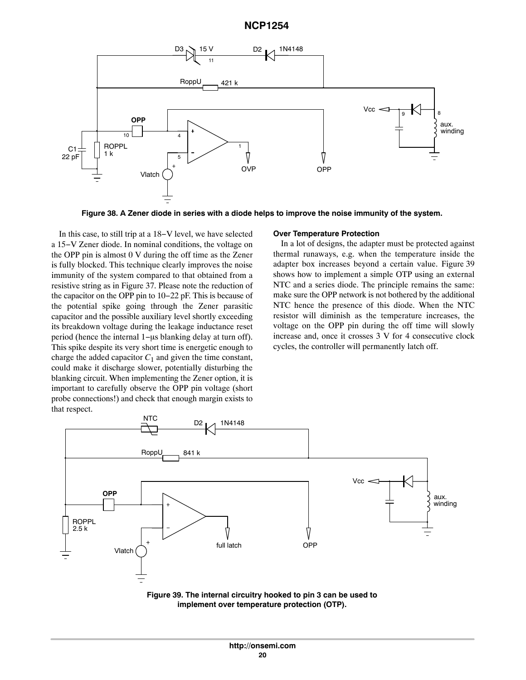<span id="page-19-0"></span>

**Figure 38. A Zener diode in series with a diode helps to improve the noise immunity of the system.**

In this case, to still trip at a 18−V level, we have selected a 15−V Zener diode. In nominal conditions, the voltage on the OPP pin is almost 0 V during the off time as the Zener is fully blocked. This technique clearly improves the noise immunity of the system compared to that obtained from a resistive string as in Figure [37](#page-18-0). Please note the reduction of the capacitor on the OPP pin to 10−22 pF. This is because of the potential spike going through the Zener parasitic capacitor and the possible auxiliary level shortly exceeding its breakdown voltage during the leakage inductance reset period (hence the internal 1–µs blanking delay at turn off). This spike despite its very short time is energetic enough to charge the added capacitor  $C_1$  and given the time constant, could make it discharge slower, potentially disturbing the blanking circuit. When implementing the Zener option, it is important to carefully observe the OPP pin voltage (short probe connections!) and check that enough margin exists to that respect.

#### **Over Temperature Protection**

In a lot of designs, the adapter must be protected against thermal runaways, e.g. when the temperature inside the adapter box increases beyond a certain value. Figure 39 shows how to implement a simple OTP using an external NTC and a series diode. The principle remains the same: make sure the OPP network is not bothered by the additional NTC hence the presence of this diode. When the NTC resistor will diminish as the temperature increases, the voltage on the OPP pin during the off time will slowly increase and, once it crosses 3 V for 4 consecutive clock cycles, the controller will permanently latch off.



**Figure 39. The internal circuitry hooked to pin 3 can be used to implement over temperature protection (OTP).**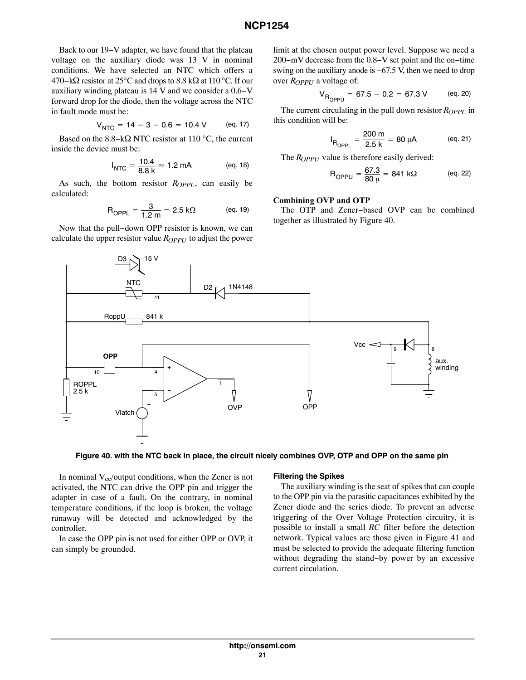Back to our 19−V adapter, we have found that the plateau voltage on the auxiliary diode was 13 V in nominal conditions. We have selected an NTC which offers a 470–kΩ resistor at 25°C and drops to 8.8 kΩ at 110 °C. If our auxiliary winding plateau is 14 V and we consider a 0.6−V forward drop for the diode, then the voltage across the NTC in fault mode must be:

$$
V_{\text{NTC}} = 14 - 3 - 0.6 = 10.4 \text{ V} \qquad \text{(eq. 17)}
$$

Based on the 8.8–k $\Omega$  NTC resistor at 110 °C, the current inside the device must be:

$$
I_{\text{NTC}} = \frac{10.4}{8.8 \text{ k}} \approx 1.2 \text{ mA} \quad (\text{eq. 18})
$$

As such, the bottom resistor  $R_{OPPL}$ , can easily be calculated:

$$
R_{OPPL} = \frac{3}{1.2 \text{ m}} = 2.5 \text{ k}\Omega \qquad \text{(eq. 19)}
$$

Now that the pull−down OPP resistor is known, we can calculate the upper resistor value *R<sub>OPPU</sub>* to adjust the power limit at the chosen output power level. Suppose we need a 200−mV decrease from the 0.8−V set point and the on−time swing on the auxiliary anode is −67.5 V, then we need to drop over *ROPPU* a voltage of:

$$
V_{R_{OPPU}} = 67.5 - 0.2 = 67.3 \text{ V} \qquad \text{(eq. 20)}
$$

The current circulating in the pull down resistor *R<sub>OPPL</sub>* in this condition will be:

$$
I_{R_{OPPL}} = \frac{200 \text{ m}}{2.5 \text{ k}} = 80 \text{ }\mu\text{A} \qquad \text{(eq. 21)}
$$

The *ROPPU* value is therefore easily derived:

$$
R_{OPPU} = \frac{67.3}{80 \mu} = 841 \text{ k}\Omega \qquad \text{(eq. 22)}
$$

#### **Combining OVP and OTP**

The OTP and Zener−based OVP can be combined together as illustrated by Figure 40.



**Figure 40. with the NTC back in place, the circuit nicely combines OVP, OTP and OPP on the same pin**

In nominal  $V_{cc}/$ output conditions, when the Zener is not activated, the NTC can drive the OPP pin and trigger the adapter in case of a fault. On the contrary, in nominal temperature conditions, if the loop is broken, the voltage runaway will be detected and acknowledged by the controller.

In case the OPP pin is not used for either OPP or OVP, it can simply be grounded.

#### **Filtering the Spikes**

The auxiliary winding is the seat of spikes that can couple to the OPP pin via the parasitic capacitances exhibited by the Zener diode and the series diode. To prevent an adverse triggering of the Over Voltage Protection circuitry, it is possible to install a small *RC* filter before the detection network. Typical values are those given in Figure [41](#page-21-0) and must be selected to provide the adequate filtering function without degrading the stand−by power by an excessive current circulation.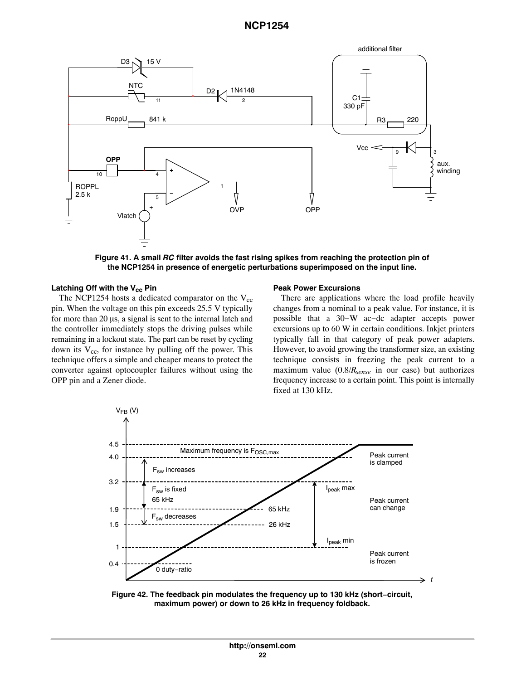<span id="page-21-0"></span>

**Figure 41. A small** *RC* **filter avoids the fast rising spikes from reaching the protection pin of the NCP1254 in presence of energetic perturbations superimposed on the input line.**

#### Latching Off with the V<sub>cc</sub> Pin

The NCP1254 hosts a dedicated comparator on the  $V_{cc}$ pin. When the voltage on this pin exceeds 25.5 V typically for more than 20 µs, a signal is sent to the internal latch and the controller immediately stops the driving pulses while remaining in a lockout state. The part can be reset by cycling down its  $V_{cc}$ , for instance by pulling off the power. This technique offers a simple and cheaper means to protect the converter against optocoupler failures without using the OPP pin and a Zener diode.

#### **Peak Power Excursions**

There are applications where the load profile heavily changes from a nominal to a peak value. For instance, it is possible that a 30−W ac−dc adapter accepts power excursions up to 60 W in certain conditions. Inkjet printers typically fall in that category of peak power adapters. However, to avoid growing the transformer size, an existing technique consists in freezing the peak current to a maximum value (0.8/*Rsense* in our case) but authorizes frequency increase to a certain point. This point is internally fixed at 130 kHz.



**Figure 42. The feedback pin modulates the frequency up to 130 kHz (short−circuit, maximum power) or down to 26 kHz in frequency foldback.**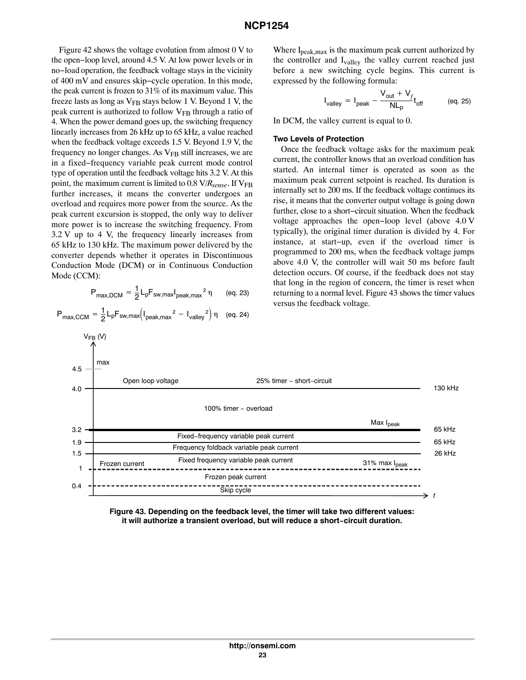Figure [42](#page-21-0) shows the voltage evolution from almost 0 V to the open−loop level, around 4.5 V. At low power levels or in no−load operation, the feedback voltage stays in the vicinity of 400 mV and ensures skip−cycle operation. In this mode, the peak current is frozen to 31% of its maximum value. This freeze lasts as long as  $V_{FB}$  stays below 1 V. Beyond 1 V, the peak current is authorized to follow  $V_{FB}$  through a ratio of 4. When the power demand goes up, the switching frequency linearly increases from 26 kHz up to 65 kHz, a value reached when the feedback voltage exceeds 1.5 V. Beyond 1.9 V, the frequency no longer changes. As  $V_{FB}$  still increases, we are in a fixed−frequency variable peak current mode control type of operation until the feedback voltage hits 3.2 V. At this point, the maximum current is limited to  $0.8 \text{ V/R}_{\text{sense}}$ . If  $\text{V}_{\text{FB}}$ further increases, it means the converter undergoes an overload and requires more power from the source. As the peak current excursion is stopped, the only way to deliver more power is to increase the switching frequency. From 3.2 V up to 4 V, the frequency linearly increases from 65 kHz to 130 kHz. The maximum power delivered by the converter depends whether it operates in Discontinuous Conduction Mode (DCM) or in Continuous Conduction Mode (CCM):

$$
P_{\text{max,DCM}} = \frac{1}{2} L_p F_{\text{sw,max}} I_{\text{peak,max}}^2 \eta \qquad \text{(eq. 23)}
$$

$$
P_{\text{max,CCM}} = \frac{1}{2} L_p F_{\text{sw,max}} \left( I_{\text{peak,max}}^2 - I_{\text{valley}}^2 \right) \eta \quad \text{(eq. 24)}
$$

 $V_{FB}$  (V)

Where 
$$
I_{\text{peak,max}}
$$
 is the maximum peak current authorized by the controller and  $I_{\text{valley}}$  the valley current reached just before a new switching cycle begins. This current is expressed by the following formula:

$$
I_{\text{valley}} = I_{\text{peak}} - \frac{V_{\text{out}} + V_f}{NL_p} t_{\text{off}} \tag{eq.25}
$$

In DCM, the valley current is equal to 0.

#### **Two Levels of Protection**

Once the feedback voltage asks for the maximum peak current, the controller knows that an overload condition has started. An internal timer is operated as soon as the maximum peak current setpoint is reached. Its duration is internally set to 200 ms. If the feedback voltage continues its rise, it means that the converter output voltage is going down further, close to a short−circuit situation. When the feedback voltage approaches the open−loop level (above 4.0 V typically), the original timer duration is divided by 4. For instance, at start−up, even if the overload timer is programmed to 200 ms, when the feedback voltage jumps above 4.0 V, the controller will wait 50 ms before fault detection occurs. Of course, if the feedback does not stay that long in the region of concern, the timer is reset when returning to a normal level. Figure 43 shows the timer values versus the feedback voltage.



**Figure 43. Depending on the feedback level, the timer will take two different values: it will authorize a transient overload, but will reduce a short−circuit duration.**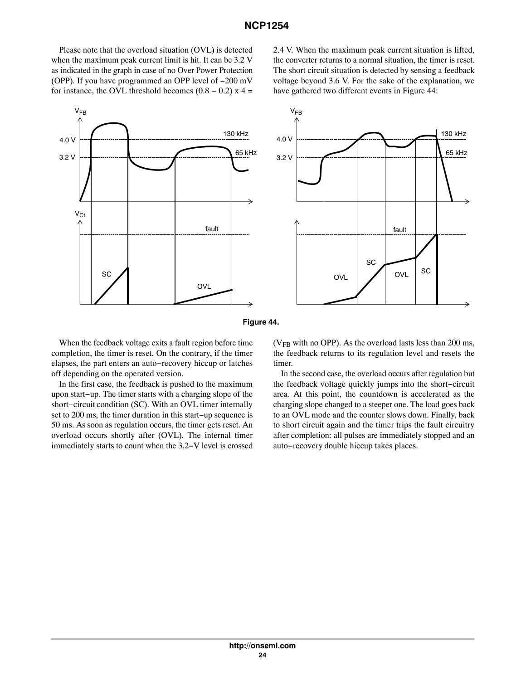Please note that the overload situation (OVL) is detected when the maximum peak current limit is hit. It can be 3.2 V as indicated in the graph in case of no Over Power Protection (OPP). If you have programmed an OPP level of −200 mV for instance, the OVL threshold becomes  $(0.8 - 0.2)$  x 4 =



2.4 V. When the maximum peak current situation is lifted, the converter returns to a normal situation, the timer is reset. The short circuit situation is detected by sensing a feedback voltage beyond 3.6 V. For the sake of the explanation, we have gathered two different events in Figure 44:





When the feedback voltage exits a fault region before time completion, the timer is reset. On the contrary, if the timer elapses, the part enters an auto−recovery hiccup or latches off depending on the operated version.

In the first case, the feedback is pushed to the maximum upon start−up. The timer starts with a charging slope of the short−circuit condition (SC). With an OVL timer internally set to 200 ms, the timer duration in this start−up sequence is 50 ms. As soon as regulation occurs, the timer gets reset. An overload occurs shortly after (OVL). The internal timer immediately starts to count when the 3.2−V level is crossed

( $V_{FB}$  with no OPP). As the overload lasts less than 200 ms, the feedback returns to its regulation level and resets the timer.

In the second case, the overload occurs after regulation but the feedback voltage quickly jumps into the short−circuit area. At this point, the countdown is accelerated as the charging slope changed to a steeper one. The load goes back to an OVL mode and the counter slows down. Finally, back to short circuit again and the timer trips the fault circuitry after completion: all pulses are immediately stopped and an auto−recovery double hiccup takes places.